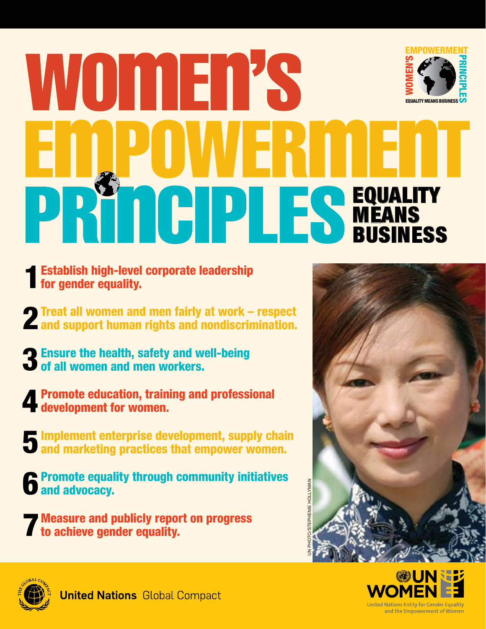# **EMPOWERMENT** WONERS PRINCIPLES **EQUALITY MEANS BUSINES** UNITED NATIONS GLOBAL COMPACT **EQUALITY** TICIPLES **Méans BUSINESS**

- Establish high-level corporate leadership **Figure 1** Establish high-level<br>for gender equality.
- Treat all women and men fairly at work respect **2** Treat all women and men fairly at work – respect<br>**2** and support human rights and nondiscrimination.
- **Refinition 2 Ensure the health, safety and well-being 3** Ensure the health, safety and w<br>**3** of all women and men workers.
- Promote education, training and professional development for women. 4
- **5** Implement enterprise development, supply chain<br>**5** and marketing practices that empower women. **and marketing practices that empower women.**
- Promote equality through community initiatives **6** Promote equal<br>**6** and advocacy.
- Measure and publicly report on progress **The Measure and publicly reports** to achieve gender equality.





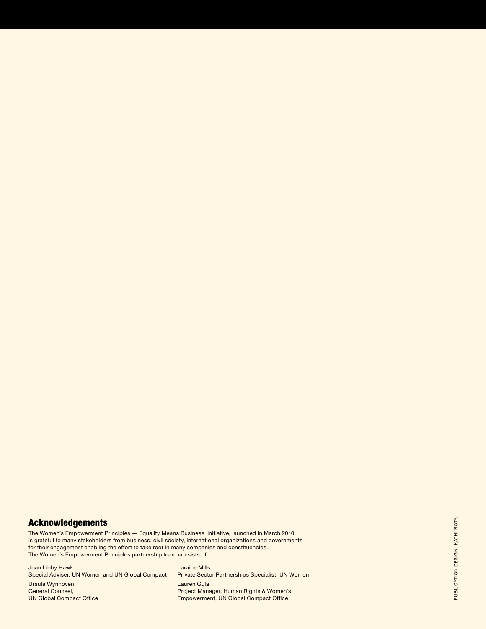#### Acknowledgements

The Women's Empowerment Principles — Equality Means Business initiative, launched in March 2010, is grateful to many stakeholders from business, civil society, international organizations and governments for their engagement enabling the effort to take root in many companies and constituencies. The Women's Empowerment Principles partnership team consists of:

Joan Libby Hawk Special Adviser, UN Women and UN Global Compact Ursula Wynhoven General Counsel, **UN Global Compact Office** 

Laraine Mills Private Sector Partnerships Specialist, UN Women Lauren Gula Project Manager, Human Rights & Women's Empowerment, UN Global Compact Office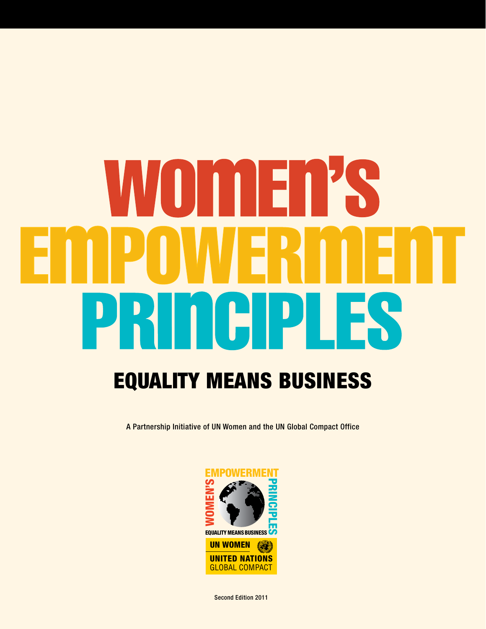# $\blacksquare$  $\blacksquare$ Equality Means Business

A Partnership Initiative of UN Women and the UN Global Compact Office



Second Edition 2011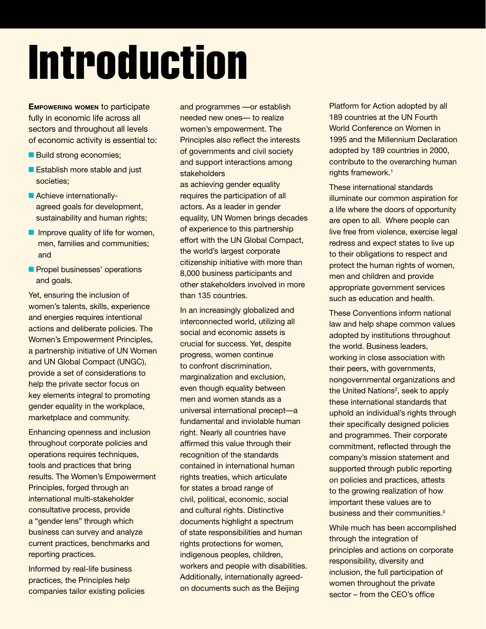# Introduction

**Empowering women** to participate fully in economic life across all sectors and throughout all levels of economic activity is essential to:

- Build strong economies;
- Establish more stable and just societies;
- Achieve internationallyagreed goals for development, sustainability and human rights;
- Improve quality of life for women, men, families and communities; and
- Propel businesses' operations and goals.

Yet, ensuring the inclusion of women's talents, skills, experience and energies requires intentional actions and deliberate policies. The Women's Empowerment Principles, a partnership initiative of UN Women and UN Global Compact (UNGC), provide a set of considerations to help the private sector focus on key elements integral to promoting gender equality in the workplace, marketplace and community.

Enhancing openness and inclusion throughout corporate policies and operations requires techniques, tools and practices that bring results. The Women's Empowerment Principles, forged through an international multi-stakeholder consultative process, provide a "gender lens" through which business can survey and analyze current practices, benchmarks and reporting practices.

Informed by real-life business practices, the Principles help companies tailor existing policies and programmes —or establish needed new ones— to realize women's empowerment. The Principles also reflect the interests of governments and civil society and support interactions among stakeholders

as achieving gender equality requires the participation of all actors. As a leader in gender equality, UN Women brings decades of experience to this partnership effort with the UN Global Compact, the world's largest corporate citizenship initiative with more than 8,000 business participants and other stakeholders involved in more than 135 countries.

In an increasingly globalized and interconnected world, utilizing all social and economic assets is crucial for success. Yet, despite progress, women continue to confront discrimination, marginalization and exclusion, even though equality between men and women stands as a universal international precept—a fundamental and inviolable human right. Nearly all countries have affirmed this value through their recognition of the standards contained in international human rights treaties, which articulate for states a broad range of civil, political, economic, social and cultural rights. Distinctive documents highlight a spectrum of state responsibilities and human rights protections for women, indigenous peoples, children, workers and people with disabilities. Additionally, internationally agreedon documents such as the Beijing

Platform for Action adopted by all 189 countries at the UN Fourth World Conference on Women in 1995 and the Millennium Declaration adopted by 189 countries in 2000, contribute to the overarching human rights framework.<sup>1</sup>

These international standards illuminate our common aspiration for a life where the doors of opportunity are open to all. Where people can live free from violence, exercise legal redress and expect states to live up to their obligations to respect and protect the human rights of women, men and children and provide appropriate government services such as education and health.

These conventions inform national law and help shape common values adopted by institutions throughout the world. Business leaders, working in close association with their peers, with governments, nongovernmental organizations and the United Nations<sup>2</sup>, seek to apply these international standards that uphold an individual's rights through their specifically designed policies and programmes. Their corporate commitment, reflected through the company's mission statement and supported through public reporting on policies and practices, attests to the growing realization of how important these values are to business and their communities.<sup>3</sup>

While much has been accomplished through the integration of principles and actions on corporate responsibility, diversity and inclusion, the full participation of women throughout the private sector – from the CEO's office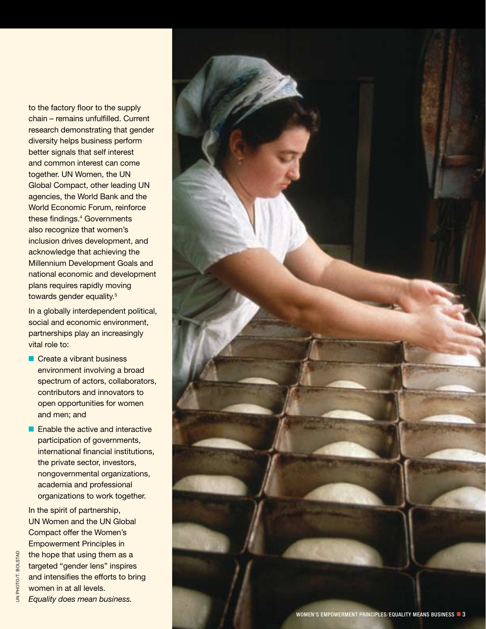to the factory floor to the supply chain – remains unfulfilled. Current research demonstrating that gender diversity helps business perform better signals that self interest and common interest can come together. UN Women, the UN Global Compact, other leading UN agencies, the World Bank and the World Economic Forum, reinforce these findings. 4 Governments also recognize that women's inclusion drives development, and acknowledge that achieving the Millennium Development Goals and national economic and development plans requires rapidly moving towards gender equality.<sup>5</sup><br>In a globally interdependent political,

social and economic environment, partnerships play an increasingly vital role to:

- Create a vibrant business environment involving a broad spectrum of actors, collaborators, contributors and innovators to open opportunities for women and men; and
- Enable the active and interactive participation of governments, international financial institutions, the private sector, investors, nongovernmental organizations, academia and professional organizations to work together.

In the spirit of partnership, UN Women and the UN Global Compact offer the Women's Empowerment Principles in the hope that using them as a targeted "gender lens" inspires and intensifies the efforts to bring women in at all levels. *Equality does mean business.*

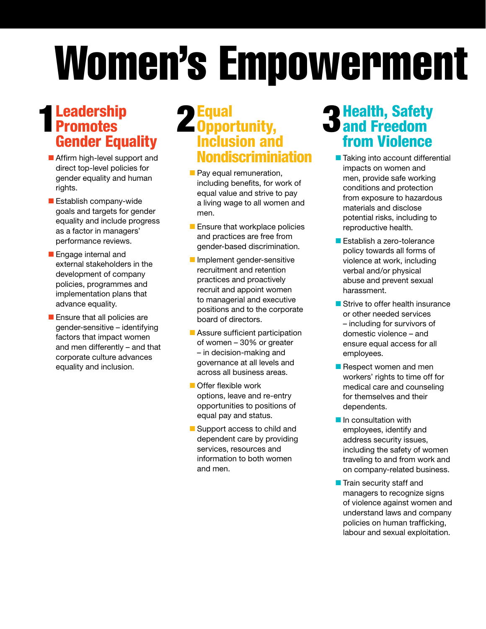# Women's Empowerment

## **Leadership Promotes** Gender Equality

- Affirm high-level support and direct top-level policies for gender equality and human rights.
- Establish company-wide goals and targets for gender equality and include progress as a factor in managers' performance reviews.
- Engage internal and external stakeholders in the development of company policies, programmes and implementation plans that advance equality.
- Ensure that all policies are gender-sensitive – identifying factors that impact women and men differently – and that corporate culture advances equality and inclusion.

### **Equal** Opportunity, 1 2 3 Inclusion and Nondiscriminiation

- Pay equal remuneration, including benefits, for work of equal value and strive to pay a living wage to all women and men.
- Ensure that workplace policies and practices are free from gender-based discrimination.
- Implement gender-sensitive recruitment and retention practices and proactively recruit and appoint women to managerial and executive positions and to the corporate board of directors.
- Assure sufficient participation of women – 30% or greater – in decision-making and governance at all levels and across all business areas.
- Offer flexible work options, leave and re-entry opportunities to positions of equal pay and status.
- Support access to child and dependent care by providing services, resources and information to both women and men.

## Health, Safety and Freedom from Violence

- Taking into account differential impacts on women and men, provide safe working conditions and protection from exposure to hazardous materials and disclose potential risks, including to reproductive health.
- Establish a zero-tolerance policy towards all forms of violence at work, including verbal and/or physical abuse and prevent sexual harassment.
- Strive to offer health insurance or other needed services – including for survivors of domestic violence – and ensure equal access for all employees.
- Respect women and men workers' rights to time off for medical care and counseling for themselves and their dependents.
- In consultation with employees, identify and address security issues, including the safety of women traveling to and from work and on company-related business.
- Train security staff and managers to recognize signs of violence against women and understand laws and company policies on human trafficking, labour and sexual exploitation.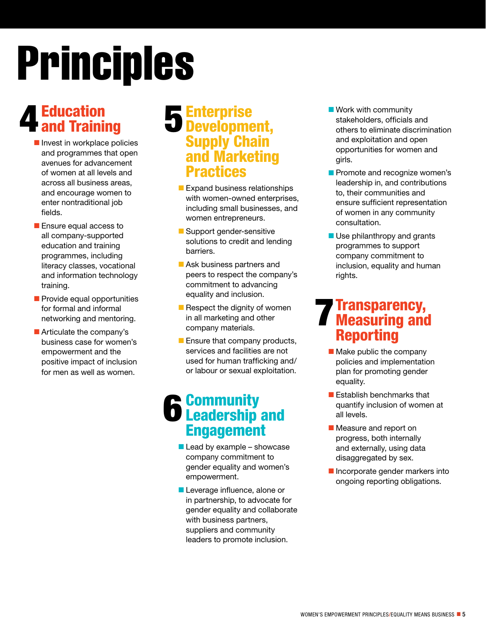# Principles

# Education 4 Education<br>4 and Training 5

- Invest in workplace policies and programmes that open avenues for advancement of women at all levels and across all business areas, and encourage women to enter nontraditional job fields.
- Ensure equal access to all company-supported education and training programmes, including literacy classes, vocational and information technology training.
- Provide equal opportunities for formal and informal networking and mentoring.
- Articulate the company's business case for women's empowerment and the positive impact of inclusion for men as well as women.

### Enterprise Development, **Supply Chain** and Marketing Practices

- Expand business relationships with women-owned enterprises, including small businesses, and women entrepreneurs.
- Support gender-sensitive solutions to credit and lending barriers.
- Ask business partners and peers to respect the company's commitment to advancing equality and inclusion.
- Respect the dignity of women in all marketing and other company materials.
- Ensure that company products, services and facilities are not used for human trafficking and/ or labour or sexual exploitation.

### **Community 6** Community<br>**6** Leadership and Engagement

- $\blacksquare$  Lead by example showcase company commitment to gender equality and women's empowerment.
- Leverage influence, alone or in partnership, to advocate for gender equality and collaborate with business partners, suppliers and community leaders to promote inclusion.
- Work with community stakeholders, officials and others to eliminate discrimination and exploitation and open opportunities for women and girls.
- Promote and recognize women's leadership in, and contributions to, their communities and ensure sufficient representation of women in any community consultation.
- Use philanthropy and grants programmes to support company commitment to inclusion, equality and human rights.

### Transparency, **Transparency,<br>Measuring and Respective** Reporting

- Make public the company policies and implementation plan for promoting gender equality.
- Establish benchmarks that quantify inclusion of women at all levels.
- Measure and report on progress, both internally and externally, using data disaggregated by sex.
- Incorporate gender markers into ongoing reporting obligations.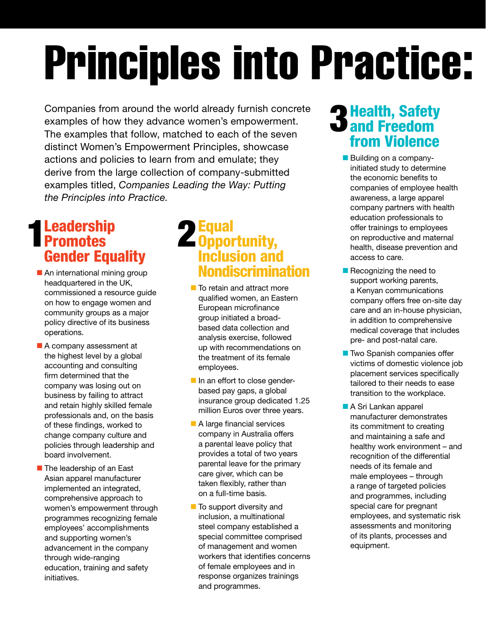# **Principles into Practice:**

Companies from around the world already furnish concrete examples of how they advance women's empowerment. The examples that follow, matched to each of the seven distinct Women's Empowerment Principles, showcase actions and policies to learn from and emulate; they derive from the large collection of company-submitted examples titled, *Companies Leading the Way: Putting the Principles into Practice.*

## **Leadership 1 Leadership<br>Promotes 22<br>Consider Fauselity** Gender Equality

- An international mining group headquartered in the UK, commissioned a resource guide on how to engage women and community groups as a major policy directive of its business operations.
- A company assessment at the highest level by a global accounting and consulting firm determined that the company was losing out on business by failing to attract and retain highly skilled female professionals and, on the basis of these findings, worked to change company culture and policies through leadership and board involvement.
- The leadership of an East Asian apparel manufacturer implemented an integrated, comprehensive approach to women's empowerment through programmes recognizing female employees' accomplishments and supporting women's advancement in the company through wide-ranging education, training and safety initiatives.

#### **Equal** Opportunity, Inclusion and Nondiscrimination

- To retain and attract more qualified women, an Eastern European microfinance group initiated a broadbased data collection and analysis exercise, followed up with recommendations on the treatment of its female employees.
- In an effort to close genderbased pay gaps, a global insurance group dedicated 1.25 million Euros over three years.
- A large financial services company in Australia offers a parental leave policy that provides a total of two years parental leave for the primary care giver, which can be taken flexibly, rather than on a full-time basis.
- To support diversity and inclusion, a multinational steel company established a special committee comprised of management and women workers that identifies concerns of female employees and in response organizes trainings and programmes.

## Health, Safety **3 Health, Safety**<br>**3 and Freedom** from Violence

- Building on a companyinitiated study to determine the economic benefits to companies of employee health awareness, a large apparel company partners with health education professionals to offer trainings to employees on reproductive and maternal health, disease prevention and access to care.
- Recognizing the need to support working parents, a Kenyan communications company offers free on-site day care and an in-house physician, in addition to comprehensive medical coverage that includes pre- and post-natal care.
- Two Spanish companies offer victims of domestic violence job placement services specifically tailored to their needs to ease transition to the workplace.
- A Sri Lankan apparel manufacturer demonstrates its commitment to creating and maintaining a safe and healthy work environment – and recognition of the differential needs of its female and male employees – through a range of targeted policies and programmes, including special care for pregnant employees, and systematic risk assessments and monitoring of its plants, processes and equipment.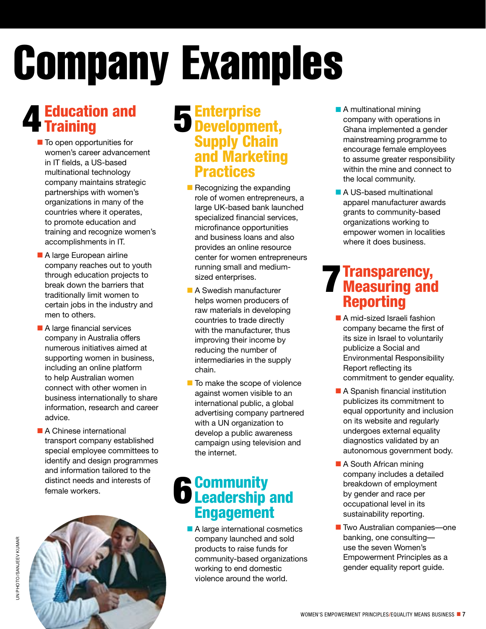# **Company Examples**

# Education and Training 4 5

- To open opportunities for women's career advancement in IT fields, a US-based multinational technology company maintains strategic partnerships with women's organizations in many of the countries where it operates, to promote education and training and recognize women's accomplishments in IT.
- A large European airline company reaches out to youth through education projects to break down the barriers that traditionally limit women to certain jobs in the industry and men to others.
- A large financial services company in Australia offers numerous initiatives aimed at supporting women in business, including an online platform to help Australian women connect with other women in business internationally to share information, research and career advice.
- A Chinese international transport company established special employee committees to identify and design programmes and information tailored to the distinct needs and interests of female workers.



### **Enterprise** Development, **Supply Chain** and Marketing **Practices**

- Recognizing the expanding role of women entrepreneurs, a large UK-based bank launched specialized financial services, microfinance opportunities and business loans and also provides an online resource center for women entrepreneurs running small and mediumsized enterprises.
- A Swedish manufacturer helps women producers of raw materials in developing countries to trade directly with the manufacturer, thus improving their income by reducing the number of intermediaries in the supply chain.
- To make the scope of violence against women visible to an international public, a global advertising company partnered with a UN organization to develop a public awareness campaign using television and the internet.

### **Community 6** Community<br>**6** Leadership and Engagement

■ A large international cosmetics company launched and sold products to raise funds for community-based organizations working to end domestic violence around the world.

- A multinational mining company with operations in Ghana implemented a gender mainstreaming programme to encourage female employees to assume greater responsibility within the mine and connect to the local community.
- A US-based multinational apparel manufacturer awards grants to community-based organizations working to empower women in localities where it does business.

### Transparency, **Transparency,<br>Measuring and Reporting** Reporting

- A mid-sized Israeli fashion company became the first of its size in Israel to voluntarily publicize a Social and Environmental Responsibility Report reflecting its commitment to gender equality.
- A Spanish financial institution publicizes its commitment to equal opportunity and inclusion on its website and regularly undergoes external equality diagnostics validated by an autonomous government body.
- A South African mining company includes a detailed breakdown of employment by gender and race per occupational level in its sustainability reporting.
- Two Australian companies—one banking, one consulting use the seven Women's Empowerment Principles as a gender equality report guide.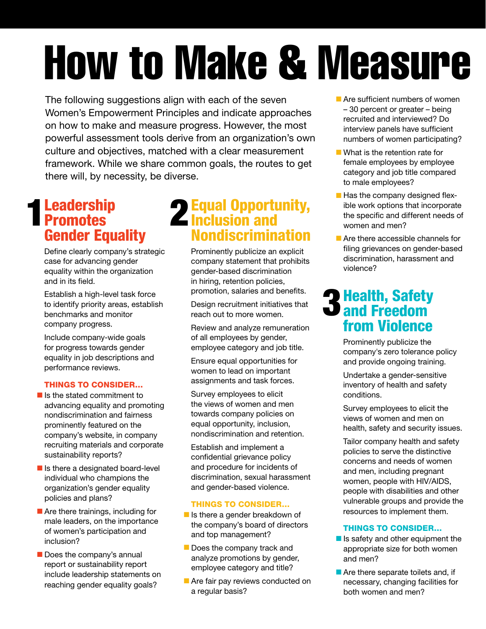# **How to Make & Measure**

The following suggestions align with each of the seven Women's Empowerment Principles and indicate approaches on how to make and measure progress. However, the most powerful assessment tools derive from an organization's own culture and objectives, matched with a clear measurement framework. While we share common goals, the routes to get there will, by necessity, be diverse.

## **Leadership 1 Leadership<br>Promotes 22<br>Consider Fauselites** Gender Equality

Define clearly company's strategic case for advancing gender equality within the organization and in its field.

Establish a high-level task force to identify priority areas, establish benchmarks and monitor company progress.

Include company-wide goals for progress towards gender equality in job descriptions and performance reviews.

#### Things to consider…

- Is the stated commitment to advancing equality and promoting nondiscrimination and fairness prominently featured on the company's website, in company recruiting materials and corporate sustainability reports?
- Is there a designated board-level individual who champions the organization's gender equality policies and plans?
- Are there trainings, including for male leaders, on the importance of women's participation and inclusion?
- Does the company's annual report or sustainability report include leadership statements on reaching gender equality goals?

## Equal Opportunity, Inclusion and Nondiscrimination

Prominently publicize an explicit company statement that prohibits gender-based discrimination in hiring, retention policies, promotion, salaries and benefits.

Design recruitment initiatives that reach out to more women.

Review and analyze remuneration of all employees by gender, employee category and job title.

Ensure equal opportunities for women to lead on important assignments and task forces.

Survey employees to elicit the views of women and men towards company policies on equal opportunity, inclusion, nondiscrimination and retention.

Establish and implement a confidential grievance policy and procedure for incidents of discrimination, sexual harassment and gender-based violence.

#### Things to consider…

- Is there a gender breakdown of the company's board of directors and top management?
- Does the company track and analyze promotions by gender, employee category and title?
- Are fair pay reviews conducted on a regular basis?
- Are sufficient numbers of women
- 30 percent or greater being recruited and interviewed? Do interview panels have sufficient numbers of women participating?
- What is the retention rate for female employees by employee category and job title compared to male employees?
- Has the company designed flexible work options that incorporate the specific and different needs of women and men?
- Are there accessible channels for filing grievances on gender-based discrimination, harassment and violence?

## Health, Safety **3** Health, Safety<br>**3** and Freedom from Violence

Prominently publicize the company's zero tolerance policy and provide ongoing training.

Undertake a gender-sensitive inventory of health and safety conditions.

Survey employees to elicit the views of women and men on health, safety and security issues.

Tailor company health and safety policies to serve the distinctive concerns and needs of women and men, including pregnant women, people with HIV/AIDs, people with disabilities and other vulnerable groups and provide the resources to implement them.

#### Things to consider…

- Is safety and other equipment the appropriate size for both women and men?
- Are there separate toilets and, if necessary, changing facilities for both women and men?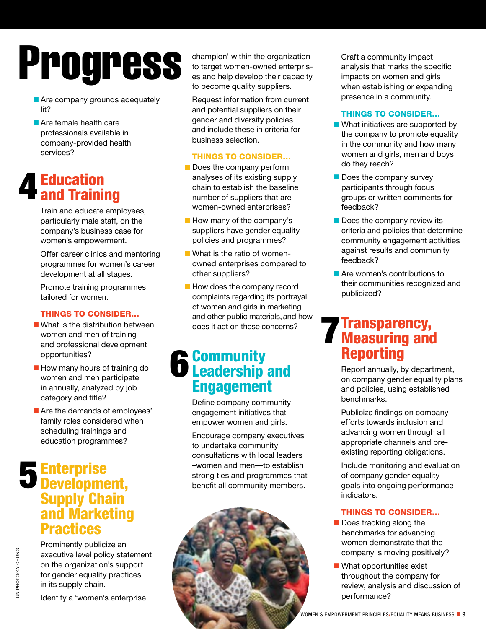# Progress

- Are company grounds adequately lit?
- Are female health care professionals available in company-provided health services?

# Education **4 Education<br>4 and Training**

Train and educate employees, particularly male staff, on the company's business case for women's empowerment.

Offer career clinics and mentoring programmes for women's career development at all stages.

Promote training programmes tailored for women.

#### Things to consider…

- What is the distribution between women and men of training and professional development opportunities?
- How many hours of training do women and men participate in annually, analyzed by job category and title?
- Are the demands of employees' family roles considered when scheduling trainings and education programmes?

## Enterprise 5 Enterprise<br>5 Development, **Supply Chain** and Marketing **Practices**

Prominently publicize an executive level policy statement on the organization's support for gender equality practices in its supply chain.

Identify a 'women's enterprise

champion' within the organization to target women-owned enterprises and help develop their capacity to become quality suppliers.

Request information from current and potential suppliers on their gender and diversity policies and include these in criteria for business selection.

#### Things to consider…

- Does the company perform analyses of its existing supply chain to establish the baseline number of suppliers that are women-owned enterprises?
- How many of the company's suppliers have gender equality policies and programmes?
- What is the ratio of womenowned enterprises compared to other suppliers?
- How does the company record complaints regarding its portrayal of women and girls in marketing and other public materials,and how does it act on these concerns?

## **Community 6** Community<br> **6** Leadership and Engagement

Define company community engagement initiatives that empower women and girls.

Encourage company executives to undertake community consultations with local leaders –women and men—to establish strong ties and programmes that benefit all community members.



Craft a community impact analysis that marks the specific impacts on women and girls when establishing or expanding presence in a community.

#### Things to consider…

- What initiatives are supported by the company to promote equality in the community and how many women and girls, men and boys do they reach?
- Does the company survey participants through focus groups or written comments for feedback?
- Does the company review its criteria and policies that determine community engagement activities against results and community feedback?
- Are women's contributions to their communities recognized and publicized?

### Transparency, **Transparency,<br>Measuring and Repartise** Reporting

Report annually, by department, on company gender equality plans and policies, using established benchmarks.

Publicize findings on company efforts towards inclusion and advancing women through all appropriate channels and preexisting reporting obligations.

Include monitoring and evaluation of company gender equality goals into ongoing performance indicators.

#### Things to consider…

- Does tracking along the benchmarks for advancing women demonstrate that the company is moving positively?
- What opportunities exist throughout the company for review, analysis and discussion of performance?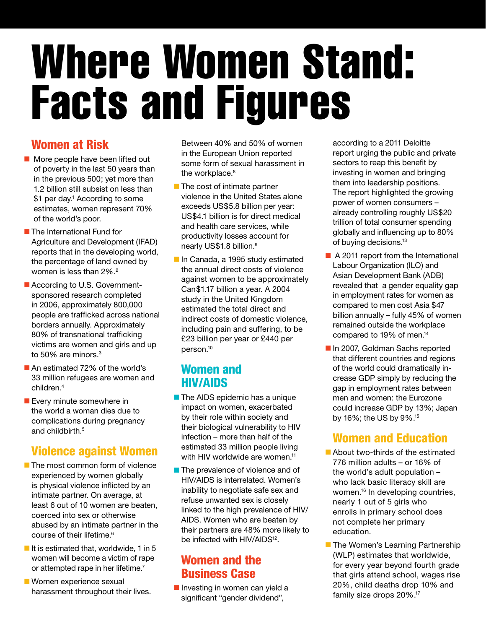# Where Women Stand: Facts and Figures

#### Women at Risk

- More people have been lifted out of poverty in the last 50 years than in the previous 500; yet more than 1.2 billion still subsist on less than \$1 per day.<sup>1</sup> According to some estimates, women represent 70% of the world's poor.
- The International Fund for Agriculture and Development (IFAD) reports that in the developing world, the percentage of land owned by women is less than 2%.<sup>2</sup>
- According to U.S. Governmentsponsored research completed in 2006, approximately 800,000 people are trafficked across national borders annually. Approximately 80% of transnational trafficking victims are women and girls and up to 50% are minors.<sup>3</sup>
- An estimated 72% of the world's 33 million refugees are women and children.4
- Every minute somewhere in the world a woman dies due to complications during pregnancy and childbirth.<sup>5</sup>

#### Violence against Women

- The most common form of violence experienced by women globally is physical violence inflicted by an intimate partner. On average, at least 6 out of 10 women are beaten, coerced into sex or otherwise abused by an intimate partner in the course of their lifetime.6
- $\blacksquare$  It is estimated that, worldwide, 1 in 5 women will become a victim of rape or attempted rape in her lifetime.<sup>7</sup>
- Women experience sexual harassment throughout their lives.

Between 40% and 50% of women in the European Union reported some form of sexual harassment in the workplace.<sup>8</sup>

- The cost of intimate partner violence in the United States alone exceeds US\$5.8 billion per year: US\$4.1 billion is for direct medical and health care services, while productivity losses account for nearly US\$1.8 billion.<sup>9</sup>
- In Canada, a 1995 study estimated the annual direct costs of violence against women to be approximately Can\$1.17 billion a year. A 2004 study in the United Kingdom estimated the total direct and indirect costs of domestic violence, including pain and suffering, to be £23 billion per year or £440 per person.10

#### Women and HIV/AIDS

- The AIDS epidemic has a unique impact on women, exacerbated by their role within society and their biological vulnerability to HIV infection – more than half of the estimated 33 million people living with HIV worldwide are women.<sup>11</sup>
- The prevalence of violence and of HIV/AIDS is interrelated. Women's inability to negotiate safe sex and refuse unwanted sex is closely linked to the high prevalence of HIV/ AIDS. Women who are beaten by their partners are 48% more likely to be infected with HIV/AIDS<sup>12</sup>.

#### Women and the Business Case

■ Investing in women can yield a significant "gender dividend",

according to a 2011 Deloitte report urging the public and private sectors to reap this benefit by investing in women and bringing them into leadership positions. The report highlighted the growing power of women consumers – already controlling roughly US\$20 trillion of total consumer spending globally and influencing up to 80% of buying decisions.13

- A 2011 report from the International Labour Organization (ILO) and Asian Development Bank (ADB) revealed that a gender equality gap in employment rates for women as compared to men cost Asia \$47 billion annually – fully 45% of women remained outside the workplace compared to 19% of men.14
- In 2007, Goldman Sachs reported that different countries and regions of the world could dramatically increase GDP simply by reducing the gap in employment rates between men and women: the Eurozone could increase GDP by 13%; Japan by 16%; the US by 9%.15

#### Women and Education

- About two-thirds of the estimated 776 million adults – or 16% of the world's adult population – who lack basic literacy skill are women.16 In developing countries, nearly 1 out of 5 girls who enrolls in primary school does not complete her primary education.
- The Women's Learning Partnership (WLP) estimates that worldwide, for every year beyond fourth grade that girls attend school, wages rise 20%, child deaths drop 10% and family size drops 20%.<sup>17</sup>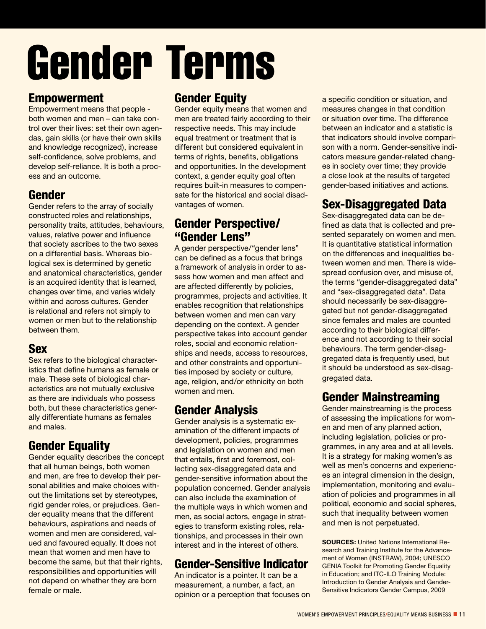# Gender Terms

#### Empowerment

Empowerment means that people both women and men – can take control over their lives: set their own agendas, gain skills (or have their own skills and knowledge recognized), increase self-confidence, solve problems, and develop self-reliance. It is both a process and an outcome.

#### Gender

Gender refers to the array of socially constructed roles and relationships, personality traits, attitudes, behaviours, values, relative power and influence that society ascribes to the two sexes on a differential basis. Whereas biological sex is determined by genetic and anatomical characteristics, gender is an acquired identity that is learned, changes over time, and varies widely within and across cultures. Gender is relational and refers not simply to women or men but to the relationship between them.

#### Sex

Sex refers to the biological characteristics that define humans as female or male. These sets of biological characteristics are not mutually exclusive as there are individuals who possess both, but these characteristics generally differentiate humans as females and males.

#### Gender Equality

Gender equality describes the concept that all human beings, both women and men, are free to develop their personal abilities and make choices without the limitations set by stereotypes, rigid gender roles, or prejudices. Gender equality means that the different behaviours, aspirations and needs of women and men are considered, valued and favoured equally. It does not mean that women and men have to become the same, but that their rights, responsibilities and opportunities will not depend on whether they are born female or male.

#### Gender Equity

Gender equity means that women and men are treated fairly according to their respective needs. This may include equal treatment or treatment that is different but considered equivalent in terms of rights, benefits, obligations and opportunities. In the development context, a gender equity goal often requires built-in measures to compensate for the historical and social disadvantages of women.

#### Gender Perspective/ "Gender Lens"

A gender perspective/"gender lens" can be defined as a focus that brings a framework of analysis in order to assess how women and men affect and are affected differently by policies, programmes, projects and activities. It enables recognition that relationships between women and men can vary depending on the context. A gender perspective takes into account gender roles, social and economic relationships and needs, access to resources, and other constraints and opportunities imposed by society or culture, age, religion, and/or ethnicity on both women and men.

#### Gender Analysis

Gender analysis is a systematic examination of the different impacts of development, policies, programmes and legislation on women and men that entails, first and foremost, collecting sex-disaggregated data and gender-sensitive information about the population concerned. Gender analysis can also include the examination of the multiple ways in which women and men, as social actors, engage in strategies to transform existing roles, relationships, and processes in their own interest and in the interest of others.

#### Gender-Sensitive Indicator

An indicator is a pointer. It can be a measurement, a number, a fact, an opinion or a perception that focuses on a specific condition or situation, and measures changes in that condition or situation over time. The difference between an indicator and a statistic is that indicators should involve comparison with a norm. Gender-sensitive indicators measure gender-related changes in society over time; they provide a close look at the results of targeted gender-based initiatives and actions.

#### Sex-Disaggregated Data

Sex-disaggregated data can be defined as data that is collected and presented separately on women and men. It is quantitative statistical information on the differences and inequalities between women and men. There is widespread confusion over, and misuse of, the terms "gender-disaggregated data" and "sex-disaggregated data". Data should necessarily be sex-disaggregated but not gender-disaggregated since females and males are counted according to their biological difference and not according to their social behaviours. The term gender-disaggregated data is frequently used, but it should be understood as sex-disaggregated data.

#### Gender Mainstreaming

Gender mainstreaming is the process of assessing the implications for women and men of any planned action, including legislation, policies or programmes, in any area and at all levels. It is a strategy for making women's as well as men's concerns and experiences an integral dimension in the design, implementation, monitoring and evaluation of policies and programmes in all political, economic and social spheres, such that inequality between women and men is not perpetuated.

**Sources:** United Nations International Research and Training Institute for the Advancement of Women (INSTRAW), 2004; UNESCO GENIA Toolkit for Promoting Gender Equality in Education; and ITC-ILO Training Module: Introduction to Gender Analysis and Gender-Sensitive Indicators Gender Campus, 2009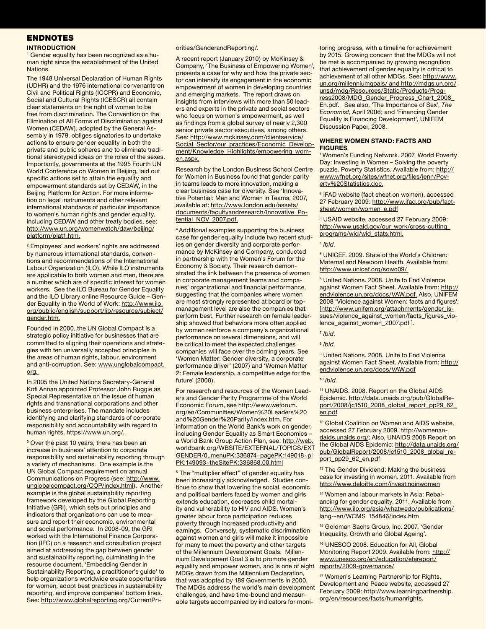#### **ENDNOTES**

#### **Introduction**

<sup>1</sup> Gender equality has been recognized as a human right since the establishment of the United Nations.

The 1948 Universal Declaration of Human Rights (UDHR) and the 1976 international convenants on Civil and Political Rights (ICCPR) and Economic, Social and Cultural Rights (ICESCR) all contain clear statements on the right of women to be free from discrimination. The Convention on the Elimination of All Forms of Discrimination against Women (CEDAW), adopted by the General Assembly in 1979, obliges signatories to undertake actions to ensure gender equality in both the private and public spheres and to eliminate traditional stereotyped ideas on the roles of the sexes. Importantly, governments at the 1995 Fourth UN World Conference on Women in Beijing, laid out specific actions set to attain the equality and empowerment standards set by CEDAW, in the Beijing Platform for Action. For more information on legal instruments and other relevant international standards of particular importance to women's human rights and gender equality, including CEDAW and other treaty bodies, see: http://www.un.org/womenwatch/daw/beijing/ platform/plat1.htm.

<sup>2</sup> Employees' and workers' rights are addressed by numerous international standards, conventions and recommendations of the International Labour Organization (ILO). While ILO instruments are applicable to both women and men, there are a number which are of specific interest for women workers. See the ILO Bureau for Gender Equality and the ILO Library online Resource Guide – Gender Equality in the World of Work: http://www.ilo. org/public/english/support/lib/resource/subject/ gender.htm.

Founded in 2000, the UN Global Compact is a strategic policy initiative for businesses that are committed to aligning their operations and strategies with ten universally accepted principles in the areas of human rights, labour, environment and anti-corruption. See: www.unglobalcompact. org.

In 2005 the United Nations Secretary-General Kofi Annan appointed Professor John Ruggie as Special Representative on the issue of human rights and transnational corporations and other business enterprises. The mandate includes identifying and clarifying standards of corporate responsibility and accountability with regard to human rights. https://www.un.org/.

<sup>3</sup> Over the past 10 years, there has been an increase in business' attention to corporate responsibility and sustainability reporting through a variety of mechanisms. One example is the UN Global Compact requirement on annual Communications on Progress (see: http://www. unglobalcompact.org/COP/index.html). Another example is the global sustainability reporting framework developed by the Global Reporting Initiative (GRI), which sets out principles and indicators that organizations can use to measure and report their economic, environmental and social performance. In 2008-09, the GRI worked with the International Finance Corporation (IFC) on a research and consultation project aimed at addressing the gap between gender and sustainability reporting, culminating in the resource document, 'Embedding Gender in Sustainability Reporting, a practitioner's guide' to help organizations worldwide create opportunities for women, adopt best practices in sustainability reporting, and improve companies' bottom lines. See: http://www.globalreporting.org/CurrentPri-

#### orities/GenderandReporting/.

A recent report (January 2010) by McKinsey & Company, 'The Business of Empowering Women', presents a case for why and how the private sector can intensify its engagement in the economic empowerment of women in developing countries and emerging markets. The report draws on insights from interviews with more than 50 leaders and experts in the private and social sectors who focus on women's empowerment, as well as findings from a global survey of nearly 2,300 senior private sector executives, among others. See: http://www.mckinsey.com/clientservice/ Social\_Sector/our\_practices/Economic\_Development/Knowledge\_Highlights/empowering\_women.aspx.

Research by the London Business School Centre for Women in Business found that gender parity in teams leads to more innovation, making a clear business case for diversity. See 'Innovative Potential: Men and Women in Teams, 2007, available at: http://www.london.edu/assets/ documents/facultyandresearch/Innovative\_Potential\_NOV\_2007.pdf.

4 Additional examples supporting the business case for gender equality include two recent studies on gender diversity and corporate performance by McKinsey and Company, conducted in partnership with the Women's Forum for the Economy & Society. Their research demonstrated the link between the presence of women in corporate management teams and companies' organizational and financial performance, suggesting that the companies where women are most strongly represented at board or topmanagement level are also the companies that perform best. Further research on female leadership showed that behaviors more often applied by women reinforce a company's organizational performance on several dimensions, and will be critical to meet the expected challenges companies will face over the coming years. See 'Women Matter: Gender diversity, a corporate performance driver' (2007) and 'Women Matter 2: Female leadership, a competitive edge for the future' (2008).

For research and resources of the Women Leaders and Gender Parity Programme of the World Economic Forum, see http://www.weforum. org/en/Communities/Women%20Leaders%20 and%20Gender%20Parity/index.htm. For information on the World Bank's work on gender, including Gender Equality as Smart Economics – a World Bank Group Action Plan, see: http://web. worldbank.org/WBSITE/EXTERNAL/TOPICS/EXT GENDER/0,,menuPK:336874~pagePK:149018~pi PK:149093~theSitePK:336868,00.html

<sup>5</sup> The "multiplier effect" of gender equality has been increasingly acknowledged. Studies continue to show that lowering the social, economic and political barriers faced by women and girls extends education, decreases child mortality and vulnerability to HIV and AIDS. Women's greater labour force participation reduces poverty through increased productivity and earnings. Conversely, systematic discrimination against women and girls will make it impossible for many to meet the poverty and other targets of the Millennium Development Goals. Millennium Development Goal 3 is to promote gender equality and empower women, and is one of eight MDGs drawn from the Millennium Declaration, that was adopted by 189 Governments in 2000. The MDGs address the world's main development challenges, and have time-bound and measurable targets accompanied by indicators for moni-

toring progress, with a timeline for achievement by 2015. Growing concern that the MDGs will not be met is accompanied by growing recognition that achievement of gender equality is critical to achievement of all other MDGs. See: http://www. un.org/millenniumgoals/ and http://mdgs.un.org/ unsd/mdg/Resources/Static/Products/Progress2008/MDG\_Gender\_Progress\_Chart\_2008\_ En.pdf. See also, 'The Importance of Sex', *The Economist*, April 2006; and 'Financing Gender Equality is Financing Development', UNIFEM Discussion Paper, 2008.

#### **Where Women Stand: Facts and Figures**

1 Women's Funding Network. 2007. World Poverty Day: Investing in Women – Solving the poverty puzzle. Poverty Statistics. Available from: http:// www.wfnet.org/sites/wfnet.org/files/jenn/Poverty%20Statistics.doc.

<sup>2</sup> IFAD website (fact sheet on women), accessed 27 February 2009: http://www.ifad.org/pub/factsheet/women/women\_e.pdf

3 USAID website, accessed 27 February 2009: http://www.usaid.gov/our\_work/cross-cutting\_ programs/wid/wid\_stats.html.

<sup>4</sup> *Ibid*.

5 UNICEF. 2009. State of the World's Children: Maternal and Newborn Health. Available from: http://www.unicef.org/sowc09/

6 United Nations. 2008. Unite to End Violence against Women Fact Sheet. Available from: http:// endviolence.un.org/docs/VAW.pdf. Also, UNIFEM 2008 'Violence against Women: facts and figures'. [http://www.unifem.org/attachments/gender\_issues/violence\_against\_women/facts\_figures\_violence\_against\_women\_2007.pdf ].

<sup>7</sup> *Ibid*.

8  *Ibid*.

9 United Nations. 2008. Unite to End Violence against Women Fact Sheet. Available from: http:// endviolence.un.org/docs/VAW.pdf

#### <sup>10</sup> *Ibid*.

11 UNAIDS. 2008. Report on the Global AIDS Epidemic. http://data.unaids.org/pub/GlobalReport/2008/jc1510\_2008\_global\_report\_pp29\_62\_ en.pdf

<sup>12</sup> Global Coalition on Women and AIDS website, accessed 27 February 2009. http://womenandaids.unaids.org/; Also, UNAIDS 2008 Report on the Global AIDS Epidemic: http://data.unaids.org/ pub/GlobalReport/2008/jc1510\_2008\_global\_report\_pp29\_62\_en.pdf

<sup>13</sup> The Gender Dividend: Making the business case for investing in women. 2011. Available from http://www.deloitte.com/investinginwomen

<sup>14</sup> Women and labour markets in Asia: Rebalancing for gender equality. 2011. Available from http://www.ilo.org/asia/whatwedo/publications/ lang--en/WCMS\_154846/index.htm

<sup>15</sup> Goldman Sachs Group, Inc. 2007. 'Gender Inequality, Growth and Global Ageing'.

<sup>16</sup> UNESCO 2008. Education for All, Global Monitoring Report 2009. Available from: http:// www.unesco.org/en/education/efareport/ reports/2009-governance/

<sup>17</sup> Women's Learning Partnership for Rights, Development and Peace website, accessed 27 February 2009: http://www.learningpartnership. org/en/resources/facts/humanrights.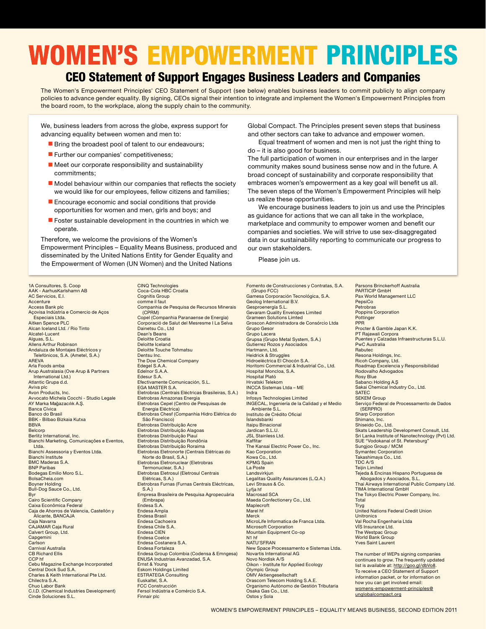# **WOMEN'S EMPOWERMENT PRINCIPLES**

#### CEO Statement of Support Engages Business Leaders and Companies

The Women's Empowerment Principles' CEO Statement of Support (see below) enables business leaders to commit publicly to align company policies to advance gender equality. By signing, CEOs signal their intention to integrate and implement the Women's Empowerment Principles from the board room, to the workplace, along the supply chain to the community.

We, business leaders from across the globe, express support for advancing equality between women and men to:

- Bring the broadest pool of talent to our endeavours;
- Further our companies' competitiveness;
- $\blacksquare$  Meet our corporate responsibility and sustainability commitments;
- Model behaviour within our companies that reflects the society we would like for our employees, fellow citizens and families;
- Encourage economic and social conditions that provide opportunities for women and men, girls and boys; and
- Foster sustainable development in the countries in which we operate.

Therefore, we welcome the provisions of the Women's Empowerment Principles – Equality Means Business, produced and disseminated by the United Nations Entity for Gender Equality and the Empowerment of Women (UN Women) and the United Nations

Global Compact. The Principles present seven steps that business and other sectors can take to advance and empower women.

Equal treatment of women and men is not just the right thing to do – it is also good for business.

The full participation of women in our enterprises and in the larger community makes sound business sense now and in the future. A broad concept of sustainability and corporate responsibility that embraces women's empowerment as a key goal will benefit us all. The seven steps of the Women's Empowerment Principles will help us realize these opportunities.

We encourage business leaders to join us and use the Principles as guidance for actions that we can all take in the workplace, marketplace and community to empower women and benefit our companies and societies. We will strive to use sex-disaggregated data in our sustainability reporting to communicate our progress to our own stakeholders.

Please join us.

1A Consultores, S. Coop AAK - AarhusKarlshamn AB AC Servicios, E.I. **Accenture** Access Bank plc Açovisa Indústria e Comercio de Aços .<br>Especiais Ltda. Aitken Spence PLC Alcan Iceland Ltd. / Rio Tinto Alcatel-Lucent Alguas, S.L. Allens Arthur Robinson Andaluza de Montajes Eléctricos y Telefónicos, S.A. (Ametel, S.A.) AREVA Arla Foods amba Arup Australasia (Ove Arup & Partners International Ltd.) Atlantic Grupa d.d. Aviva plc Avon Products, Inc. Avvocato Michela Cocchi - Studio Legale AY Marka Mağazacılık A.S. Banca Cívica Banco do Brasil BBK - Bilbao Bizkaia Kutxa **BBVA Belcorp** Berlitz International, Inc. Bianchi Marketing, Comunicações e Eventos, Ltda. Bianchi Assessoria y Eventos Ltda. Bianchi Institute BMC Maderas S.A. **BNP Paribas** Bodegas Emilio Moro S.L. BolsaCheia.com Boyner Holding Bull-Dog Sauce Co., Ltd. Byr Cairo Scientific Company Caixa Econômica Federal Caja de Ahorros de Valencia, Castellón y Alicante, BANCAJA Caja Navarra CAJAMAR Caja Rural Calvert Group, Ltd. **Capgemini** Carlson Carnival Australia CB Richard Ellis CCP hf Cebu Magazine Exchange Incorporated Central Dock Sud S.A. Charles & Keith International Pte Ltd. Chilectra S.A. Chuo Labor Bank C.I.D. (Chemical Industries Development) Cinde Soluciones S.L.

CINQ Technologies Coca-Cola HBC Croatia Cognitis Group comme il faut Companhia de Pesquisa de Recursos Minerais (CPRM) Copel (Companhia Paranaense de Energia) Corporació de Salut del Mesresme I La Selva Dainetsu Co., Ltd Dean's Beans Deloitte Croatia Deloitte Iceland Deloitte Touche Tohmatsu Dentsu Inc. The Dow Chemical Company Edegel S.A.A. Edelnor S.A.A. Edesur S.A. Efectivamente Comunicación, S.L. EGA MASTER S.A. Eletrobras (Centrais Eléctricas Brasileiras, S.A.) Eletrobras Amazonas Energia Eletrobras Cepel (Centro de Pesquisas de Energia Eléctrica) Eletrobras Chesf (Companhia Hidro Elétrica do São Francisco) Eletrobras Distribuição Acre Eletrobras Distribuição Alagoas Eletrobras Distribuição Piauí Eletrobras Distribuição Rondônia Eletrobras Distribuição Roraima Eletrobras Eletronorte (Centrais Elétricas do Norte do Brasil, S.A.) Eletrobras Eletronuclear (Eletrobras Termonuclear, S.A.) Eletrobras Eletrosul (Eletrosul Centrais Elétricas, S.A.) Eletrobras Furnas (Furnas Centrais Eléctricas, S.A.) Empresa Brasileira de Pesquisa Agropecuária (Embrapa) Endesa S.A. Endesa Ampla Endesa Brasil Endesa Cachoeira Endesa Chile S.A. Endesa CIEN Endesa Coelce Endesa Costanera S.A. Endesa Fortaleza Endesa Group Colombia (Codensa & Emngesa) ENUSA Industrias Avanzadad, S.A. Ernst & Young Eskom Holdings Limited ESTRATEGA Consulting Euskaltel, S.A. FCC Construcción Fersol Indústria e Comércio S.A. Finnair plc

Fomento de Construcciones y Contratas, S.A. (Grupo FCC) Gamesa Corporación Tecnológica, S.A. Geolog International B.V. Gesproenergía S.L. Gevaram Quality Envelopes Limited Grameen Solutions Limted Groscon Administradora de Consórcio Ltda Grupo Gesor Grupo Lacera Grupsa (Grupo Metal System, S.A.) Gutierrez Rozos y Asociados Hartmann, Ltd. Heidrick & Struggles Hidroeléctrica El Chocón S.A. Horitomi Commercial & Industrial Co., Ltd. Hospital Moncloa, S.A. Hospital Plató Hrvatski Telekom INCCA Sistemas Ltda – ME Indra Infosys Technologies Limited INGECAL, Ingeniería de la Calidad y el Medio Ambiente S.L. Instituto de Crédito Oficial Íslandsbanki Itaipu Binacional Jardican S.L.U. JSL Stainless Ltd. Kaffitar The Kansai Electric Power Co., Inc. Kao Corporation Kowa Co., Ltd. KPMG Spain La Poste Landsvirkjun Legalitas Quality Assurances (L.Q.A.) Levi Strauss & Co. Lyfja hf Macrosad SCA Maeda Confectionery Co., Ltd. Maplecroft Marel hf **Merck** MicroLife Informatica de Franca Ltda. Microsoft Corporation Mountain Equipment Co-op N1 hf NATU'SFRAN New Space Processamento e Sistemas Ltda. Novartis International AG Novo Nordisk A/S Oikon - Institute for Applied Ecology Olympic Group OMV Aktiengesellschaft Orascom Telecom Holding S.A.E. Organismo Autónomo de Gestión Tributaria saka Gas Co., Ltd. Ostos y Sola

Parsons Brinckerhoff Australia PARTICIP GmbH Pax World Management LLC PepsiCo Petrobras Poppins Corporation **Pottinger** PPR Procter & Gamble Japan K.K. PT Rajawali Corpora Puentes y Calzadas Infraestructuras S.L.U. PwC Australia **Rabutec** Resona Holdings, Inc. Ricoh Company, Ltd. Roadmap Excelencia y Responsibilidad Rodovalho Advogados Rosy Blue Sabancı Holding A.S Sakai Chemical Industry Co., Ltd. SATE<sub>C</sub> SEKEM Group Serviço Federal de Processamento de Dados (SERPRO) Sharp Corporation Shimano, Inc. Shiseido Co., Ltd. Skats Leadership Development Consult, Ltd. Sri Lanka Institute of Nanotechnology (Pvt) Ltd. **SUE** "Vodokanal of St. Petersburg" Sungjoo Group / MCM Symantec Corporation Takashimaya Co., Ltd. TDC A/S Teijin Limited Tejeda & Encinas Hispano Portuguesa de Abogados y Asociados, S.L. Thai Airways International Public Company Ltd. TIMA International GmbH The Tokyo Electric Power Company, Inc. Total Tryg United Nations Federal Credit Union **Unitronics** Val Rocha Engenharia Ltda VÍS Insurance Ltd. The Westpac Group World Bank Group Yves Saint Laurent The number of WEPs signing companies continues to grow. The frequently updated

list is available at: http://goo.gl/dbVo8. To receive a CEO Statement of Support information packet, or for information on how you can get involved email: womens-empowerment-principles@ unglobalcompact.org